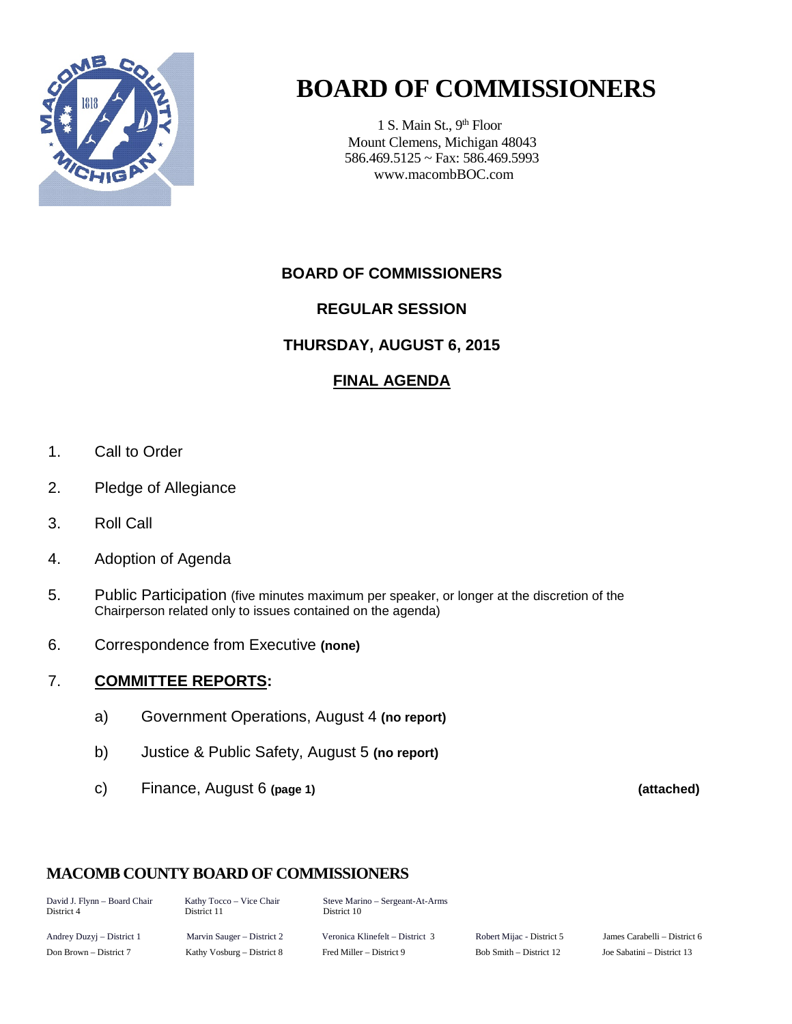

# **BOARD OF COMMISSIONERS**

1 S. Main St., 9<sup>th</sup> Floor Mount Clemens, Michigan 48043 586.469.5125 ~ Fax: 586.469.5993 www.macombBOC.com

### **BOARD OF COMMISSIONERS**

### **REGULAR SESSION**

### **THURSDAY, AUGUST 6, 2015**

### **FINAL AGENDA**

- 1. Call to Order
- 2. Pledge of Allegiance
- 3. Roll Call
- 4. Adoption of Agenda
- 5. Public Participation (five minutes maximum per speaker, or longer at the discretion of the Chairperson related only to issues contained on the agenda)
- 6. Correspondence from Executive **(none)**

### 7. **COMMITTEE REPORTS:**

- a) Government Operations, August 4 **(no report)**
- b) Justice & Public Safety, August 5 **(no report)**
- c) Finance, August 6 **(page 1) (attached)**

### **MACOMB COUNTY BOARD OF COMMISSIONERS**

David J. Flynn – Board Chair Kathy Tocco – Vice Chair Steve Marino – Sergeant-At-Arms District 10

Andrey Duzyj – District 1 Marvin Sauger – District 2 Veronica Klinefelt – District 3 Robert Mijac - District 5 James Carabelli – District 6 Don Brown – District 7 Kathy Vosburg – District 8 Fred Miller – District 9 Bob Smith – District 12 Joe Sabatini – District 13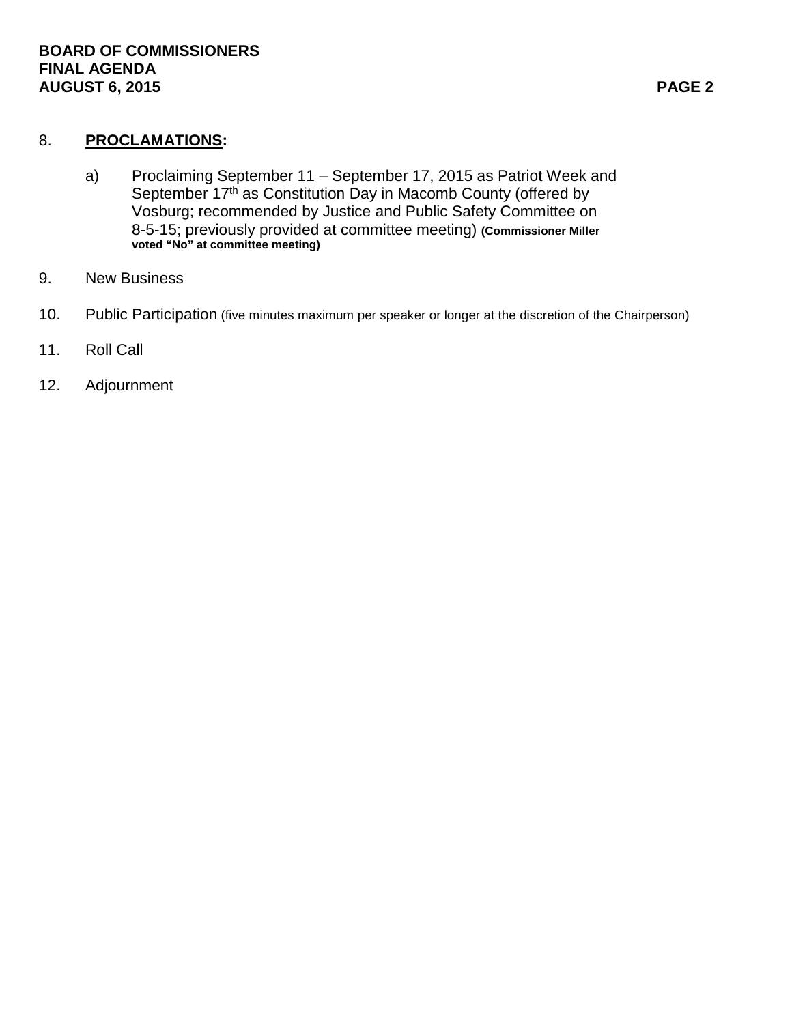### 8. **PROCLAMATIONS:**

- a) Proclaiming September 11 September 17, 2015 as Patriot Week and September 17<sup>th</sup> as Constitution Day in Macomb County (offered by Vosburg; recommended by Justice and Public Safety Committee on 8-5-15; previously provided at committee meeting) **(Commissioner Miller voted "No" at committee meeting)**
- 9. New Business
- 10. Public Participation (five minutes maximum per speaker or longer at the discretion of the Chairperson)
- 11. Roll Call
- 12. Adjournment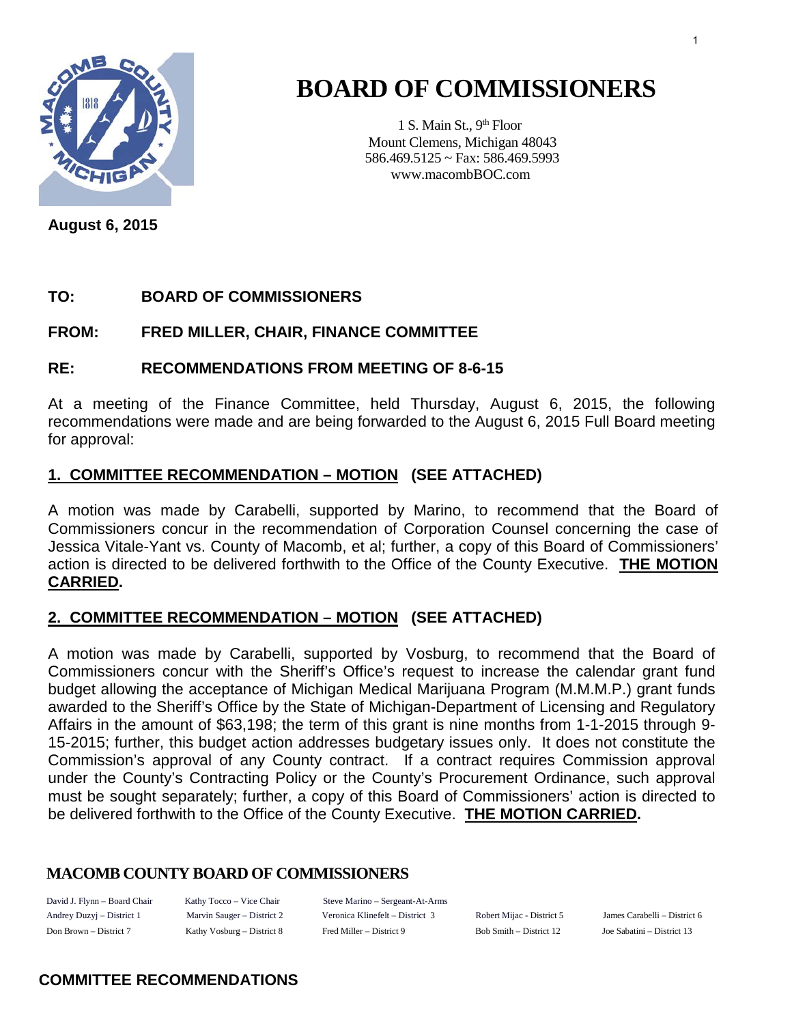

# **BOARD OF COMMISSIONERS**

1 S. Main St., 9<sup>th</sup> Floor Mount Clemens, Michigan 48043 586.469.5125 ~ Fax: 586.469.5993 www.macombBOC.com

**August 6, 2015**

### **TO: BOARD OF COMMISSIONERS**

### **FROM: FRED MILLER, CHAIR, FINANCE COMMITTEE**

### **RE: RECOMMENDATIONS FROM MEETING OF 8-6-15**

At a meeting of the Finance Committee, held Thursday, August 6, 2015, the following recommendations were made and are being forwarded to the August 6, 2015 Full Board meeting for approval:

### **1. COMMITTEE RECOMMENDATION – MOTION (SEE ATTACHED)**

A motion was made by Carabelli, supported by Marino, to recommend that the Board of Commissioners concur in the recommendation of Corporation Counsel concerning the case of Jessica Vitale-Yant vs. County of Macomb, et al; further, a copy of this Board of Commissioners' action is directed to be delivered forthwith to the Office of the County Executive. **THE MOTION CARRIED.** 

### **2. COMMITTEE RECOMMENDATION – MOTION (SEE ATTACHED)**

A motion was made by Carabelli, supported by Vosburg, to recommend that the Board of Commissioners concur with the Sheriff's Office's request to increase the calendar grant fund budget allowing the acceptance of Michigan Medical Marijuana Program (M.M.M.P.) grant funds awarded to the Sheriff's Office by the State of Michigan-Department of Licensing and Regulatory Affairs in the amount of \$63,198; the term of this grant is nine months from 1-1-2015 through 9- 15-2015; further, this budget action addresses budgetary issues only. It does not constitute the Commission's approval of any County contract. If a contract requires Commission approval under the County's Contracting Policy or the County's Procurement Ordinance, such approval must be sought separately; further, a copy of this Board of Commissioners' action is directed to be delivered forthwith to the Office of the County Executive. **THE MOTION CARRIED.** 

### **MACOMB COUNTY BOARD OF COMMISSIONERS**

Andrey Duzyj – District 1 Marvin Sauger – District 2

David J. Flynn – Board Chair Kathy Tocco – Vice Chair Steve Marino – Sergeant-At-Arms Veronica Klinefelt – District 3 Robert Mijac - District 5 James Carabelli – District 6 Don Brown – District 7 Kathy Vosburg – District 8 Fred Miller – District 9 Bob Smith – District 12 Joe Sabatini – District 13

### **COMMITTEE RECOMMENDATIONS**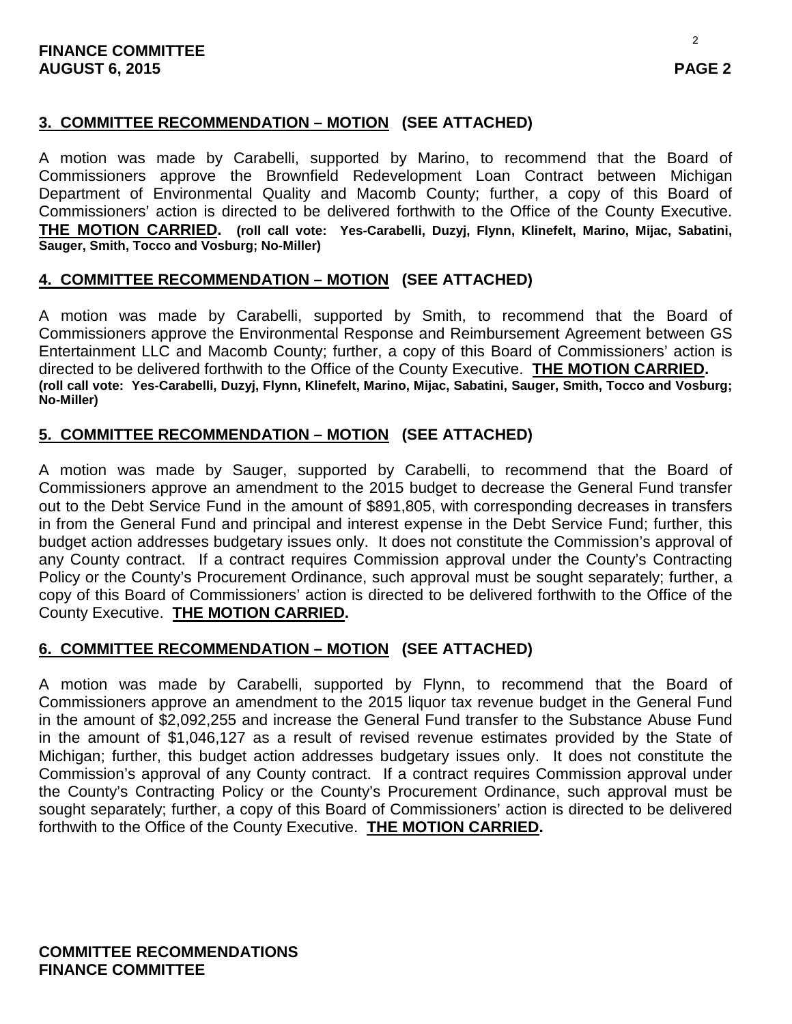### **3. COMMITTEE RECOMMENDATION – MOTION (SEE ATTACHED)**

A motion was made by Carabelli, supported by Marino, to recommend that the Board of Commissioners approve the Brownfield Redevelopment Loan Contract between Michigan Department of Environmental Quality and Macomb County; further, a copy of this Board of Commissioners' action is directed to be delivered forthwith to the Office of the County Executive. **THE MOTION CARRIED. (roll call vote: Yes-Carabelli, Duzyj, Flynn, Klinefelt, Marino, Mijac, Sabatini, Sauger, Smith, Tocco and Vosburg; No-Miller)**

### **4. COMMITTEE RECOMMENDATION – MOTION (SEE ATTACHED)**

A motion was made by Carabelli, supported by Smith, to recommend that the Board of Commissioners approve the Environmental Response and Reimbursement Agreement between GS Entertainment LLC and Macomb County; further, a copy of this Board of Commissioners' action is directed to be delivered forthwith to the Office of the County Executive. THE MOTION CARRIED. (roll call vote: Yes-Carabelli, Duzyj, Flynn, Klinefelt, Marino, Mijac, Sabatini, Sauger, Smith, Tocco and Vosburg; **No-Miller)**

### **5. COMMITTEE RECOMMENDATION – MOTION (SEE ATTACHED)**

A motion was made by Sauger, supported by Carabelli, to recommend that the Board of Commissioners approve an amendment to the 2015 budget to decrease the General Fund transfer out to the Debt Service Fund in the amount of \$891,805, with corresponding decreases in transfers in from the General Fund and principal and interest expense in the Debt Service Fund; further, this budget action addresses budgetary issues only. It does not constitute the Commission's approval of any County contract. If a contract requires Commission approval under the County's Contracting Policy or the County's Procurement Ordinance, such approval must be sought separately; further, a copy of this Board of Commissioners' action is directed to be delivered forthwith to the Office of the County Executive. **THE MOTION CARRIED.** 

### **6. COMMITTEE RECOMMENDATION – MOTION (SEE ATTACHED)**

A motion was made by Carabelli, supported by Flynn, to recommend that the Board of Commissioners approve an amendment to the 2015 liquor tax revenue budget in the General Fund in the amount of \$2,092,255 and increase the General Fund transfer to the Substance Abuse Fund in the amount of \$1,046,127 as a result of revised revenue estimates provided by the State of Michigan; further, this budget action addresses budgetary issues only. It does not constitute the Commission's approval of any County contract. If a contract requires Commission approval under the County's Contracting Policy or the County's Procurement Ordinance, such approval must be sought separately; further, a copy of this Board of Commissioners' action is directed to be delivered forthwith to the Office of the County Executive. **THE MOTION CARRIED.**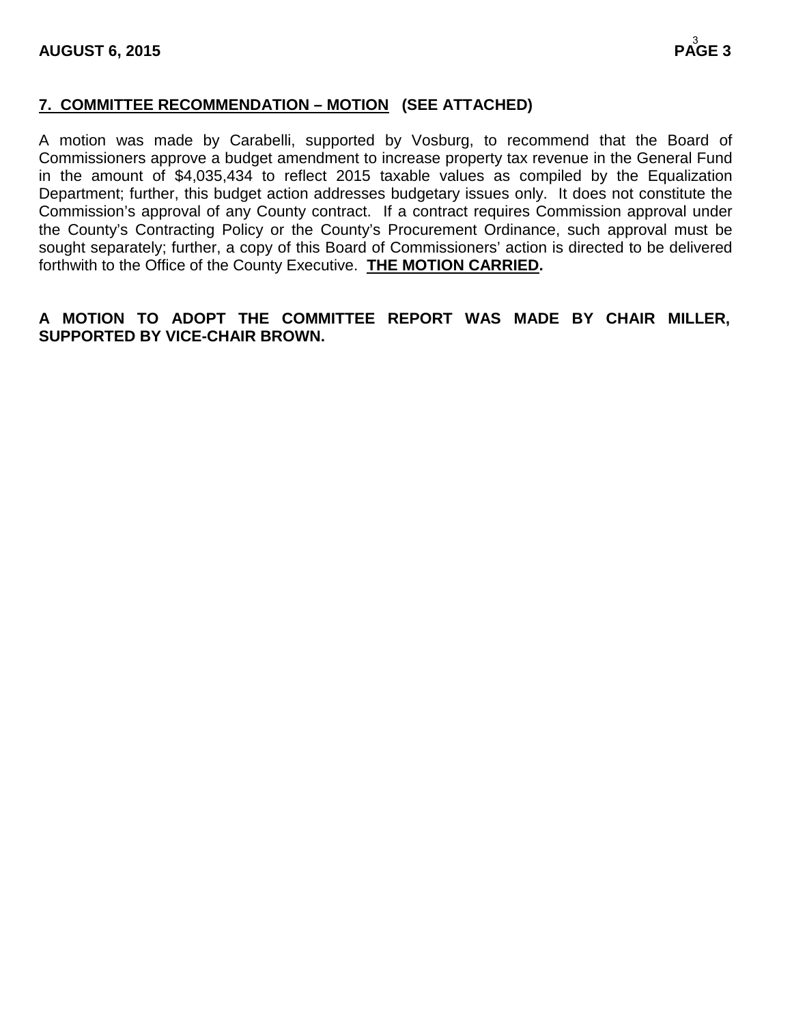### **7. COMMITTEE RECOMMENDATION – MOTION (SEE ATTACHED)**

A motion was made by Carabelli, supported by Vosburg, to recommend that the Board of Commissioners approve a budget amendment to increase property tax revenue in the General Fund in the amount of \$4,035,434 to reflect 2015 taxable values as compiled by the Equalization Department; further, this budget action addresses budgetary issues only. It does not constitute the Commission's approval of any County contract. If a contract requires Commission approval under the County's Contracting Policy or the County's Procurement Ordinance, such approval must be sought separately; further, a copy of this Board of Commissioners' action is directed to be delivered forthwith to the Office of the County Executive. **THE MOTION CARRIED.** 

### **A MOTION TO ADOPT THE COMMITTEE REPORT WAS MADE BY CHAIR MILLER, SUPPORTED BY VICE-CHAIR BROWN.**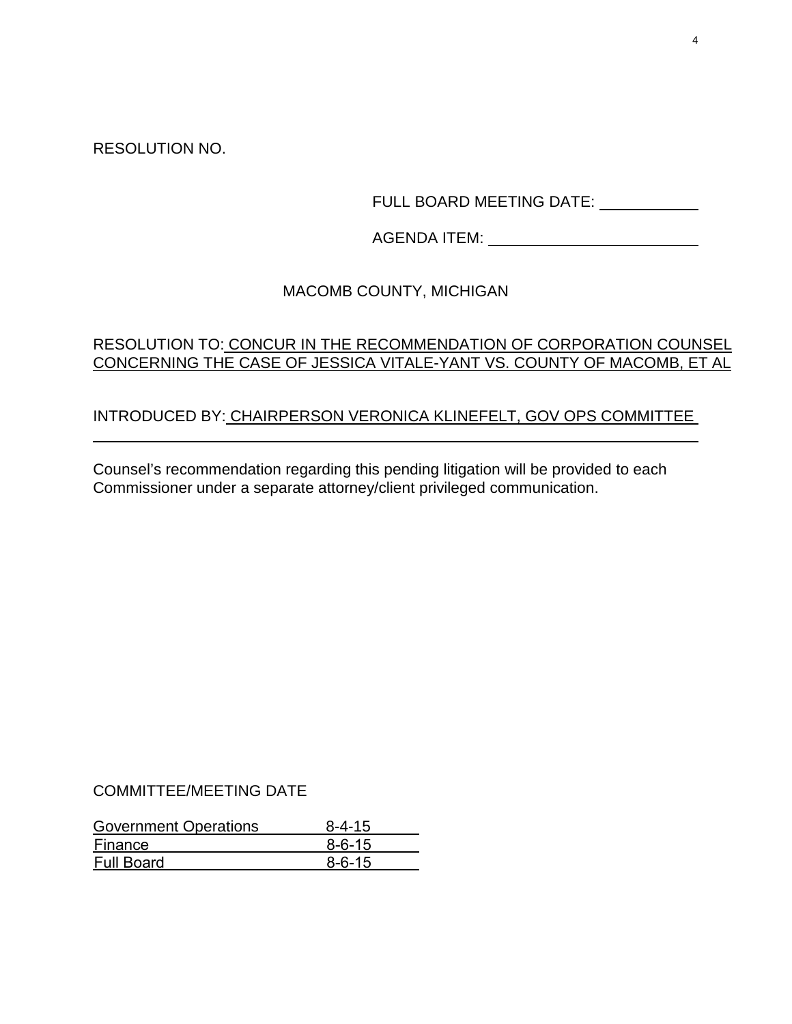RESOLUTION NO.

FULL BOARD MEETING DATE: \_\_\_\_\_\_\_\_\_\_\_\_

AGENDA ITEM:

### MACOMB COUNTY, MICHIGAN

### RESOLUTION TO: CONCUR IN THE RECOMMENDATION OF CORPORATION COUNSEL CONCERNING THE CASE OF JESSICA VITALE-YANT VS. COUNTY OF MACOMB, ET AL

### INTRODUCED BY: CHAIRPERSON VERONICA KLINEFELT, GOV OPS COMMITTEE

Counsel's recommendation regarding this pending litigation will be provided to each Commissioner under a separate attorney/client privileged communication.

### COMMITTEE/MEETING DATE

| <b>Government Operations</b> | $8 - 4 - 15$ |
|------------------------------|--------------|
| Finance                      | $8 - 6 - 15$ |
| <b>Full Board</b>            | $8 - 6 - 15$ |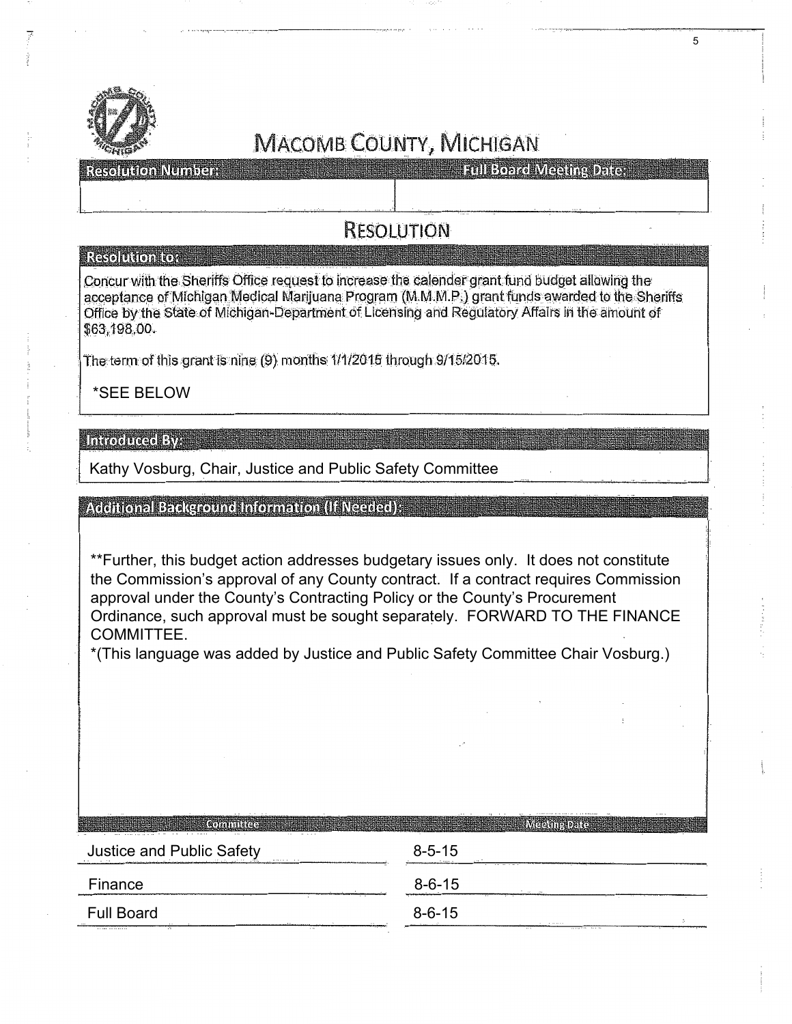

Resolution Number

**Excel Board Meeting Dates** 

### RESOLUTION

#### **Resolution to:**

Concur with the Sheriffs Office request to increase the calender grant fund budget allowing the acceptance of Michigan Medical Marijuana Program (M.M.M.P.) grant funds awarded to the Sheriffs Office by the State of Michigan-Department of Licensing and Regulatory Affairs in the amount of \$63,198,00.

The term of this grant is nine (9) months:  $1/1/2015$  through 9/15/2015.

............................ ,\_ .. \_\_\_\_\_ \_

\*SEE BELOW

#### **TARTOODIGGO EXTER**

Kathy Vosburg, Chair, Justice and Public Safety Committee

#### Additional Background Information (If Needed);

\*\*Further, this budget action addresses budgetary issues only. It does not constitute the Commission's approval of any County contract. If a contract requires Commission approval under the County's Contracting Policy or the County's Procurement Ordinance, such approval must be sought separately. FORWARD TO THE FINANCE COMMITTEE.

\*(This language was added by Justice and Public Safety Committee Chair Vosburg.)

| $8 - 5 - 15$<br>.   |                             |
|---------------------|-----------------------------|
| $8 - 6 - 15$<br>. . |                             |
| $8 - 6 - 15$<br>.   |                             |
|                     | 88.8<br><br><b>PR P. R.</b> |

5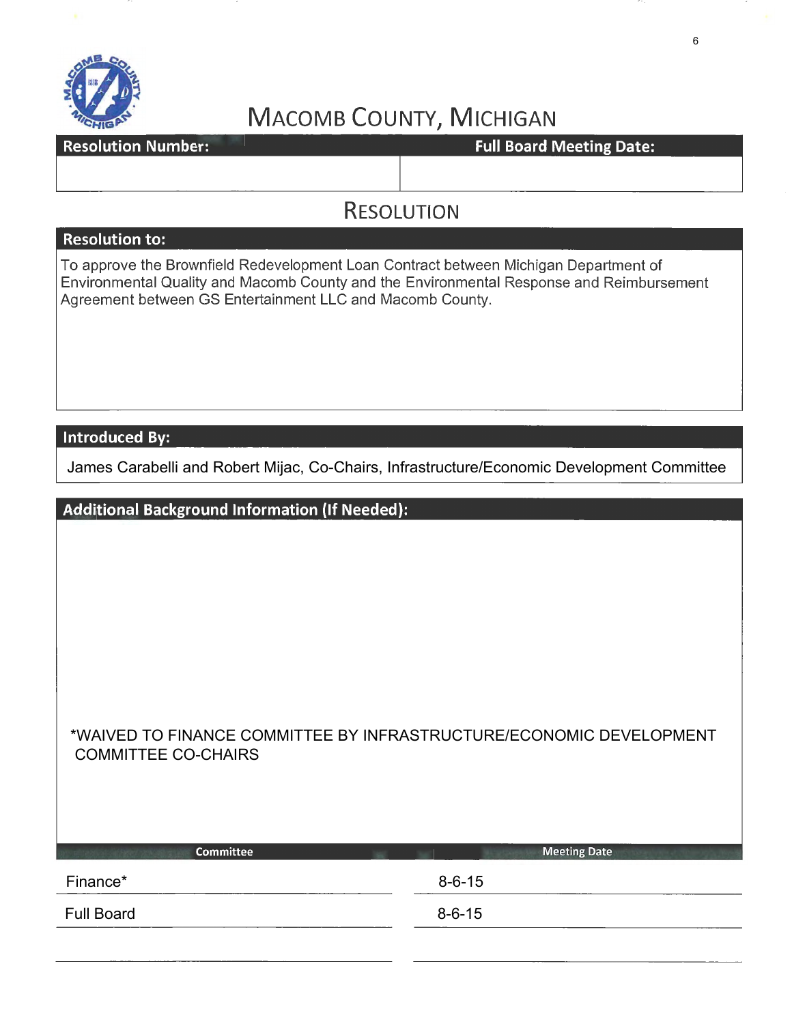

Resolution Number: The Constantine of Team Photograph Full Board Meeting Date:

### **RESOLUTION**

### **Resolution to:**

To approve the Brownfield Redevelopment Loan Contract between Michigan Department of Environmental Quality and Macomb County and the Environmental Response and Reimbursement Agreement between GS Entertainment LLC and Macomb County.

**Introduced By:** 

James Carabelli and Robert Mijac, Co-Chairs, Infrastructure/Economic Development Committee

| <b>Additional Background Information (If Needed):</b>                                             |
|---------------------------------------------------------------------------------------------------|
|                                                                                                   |
|                                                                                                   |
|                                                                                                   |
|                                                                                                   |
|                                                                                                   |
|                                                                                                   |
|                                                                                                   |
| *WAIVED TO FINANCE COMMITTEE BY INFRASTRUCTURE/ECONOMIC DEVELOPMENT<br><b>COMMITTEE CO-CHAIRS</b> |
|                                                                                                   |
|                                                                                                   |
| <b>Committee</b><br><b>Meeting Date</b>                                                           |

| ____________       | <u> ancour, como</u> |
|--------------------|----------------------|
| Finance*<br>______ | $8 - 6 - 15$         |
| <b>Full Board</b>  | $8 - 6 - 15$         |
|                    |                      |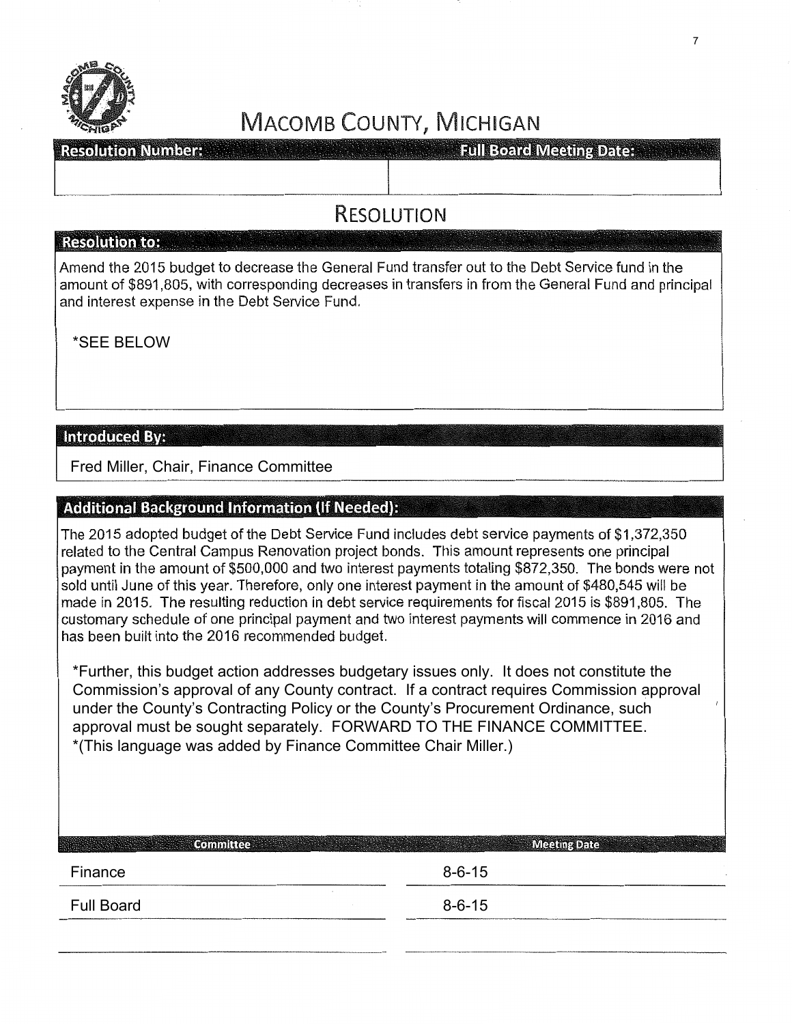

**Resolution Number:** 

**Full Board Meeting Date:** 

### **RESOLUTION**

#### - **Resolution to:** . .

Amend the 2015 budget to decrease the General Fund transfer out to the Debt Service fund in the amount of \$891,805, with corresponding decreases in transfers in from the General Fund and principal and interest expense in the Debt Service Fund.

\*SEE BELOW

### **Introduced By:**

Fred Miller, Chair, Finance Committee

### **Additional Background Information (If Needed):**

The 2015 adopted budget of the Debt Service Fund includes debt service payments of \$1 ,372,350 related to the Central Campus Renovation project bonds. This amount represents one principal payment in the amount of \$500,000 and two interest payments totaling \$872,350. The bonds were not sold until June of this year. Therefore, only one interest payment in the amount of \$480,545 will be made in 2015. The resulting reduction in debt service requirements for fiscal 2015 is \$891,805. The customary schedule of one principal payment and two interest payments will commence in 2016 and has been built into the 2016 recommended budget.

\*Further, this budget action addresses budgetary issues only. It does not constitute the Commission's approval of any County contract. If a contract requires Commission approval under the County's Contracting Policy or the County's Procurement Ordinance, such approval must be sought separately. FORWARD TO THE FINANCE COMMITTEE. \*(This language was added by Finance Committee Chair Miller.)

| <b>Committee</b>  | <b>Meeting Date</b><br><b>MARK SEAR</b> |  |
|-------------------|-----------------------------------------|--|
| Finance           | $8 - 6 - 15$                            |  |
| <b>Full Board</b> | $8 - 6 - 15$                            |  |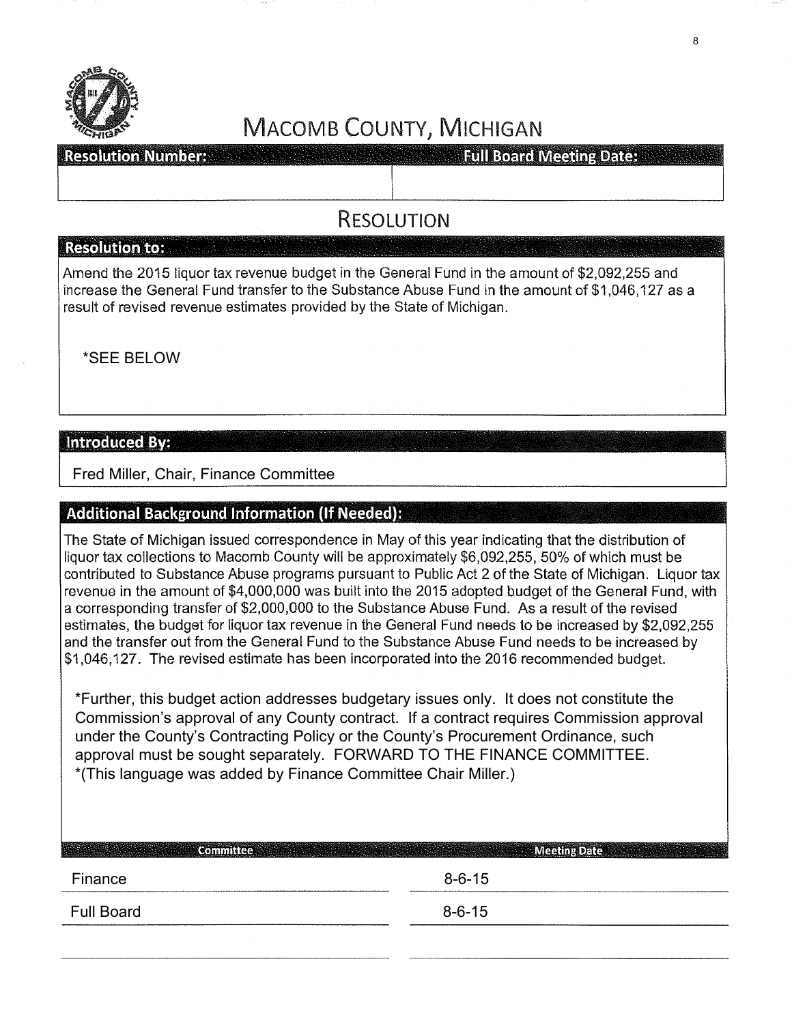

**Resolution Number:** 

**Full Board Meeting Dates** 

### RESOLUTION

#### **Resolution to:**

Amend the 2015 liquor tax revenue budget in the General Fund in the amount of \$2,092,255 and increase the General Fund transfer to the Substance Abuse Fund in the amount of \$1,046,127 as a result of revised revenue estimates provided by the State of Michigan.

\*SEE BELOW

### **Introduced By:**

Fred Miller, Chair, Finance Committee

### **Additional Background Information (If Needed):**

The State of Michigan issued correspondence in May of this year indicating that the distribution of liquor tax collections to Macomb County will be approximately \$6,092,255, 50% of which must be contributed to Substance Abuse programs pursuant to Public Act 2 of the State of Michigan. Liquor tax revenue in the amount of \$4,000,000 was built into the 2015 adopted budget of the General Fund, with a corresponding transfer of \$2,000,000 to the Substance Abuse Fund. As a result of the revised estimates, the budget for liquor tax revenue in the General Fund needs to be increased by \$2,092,255 and the transfer out from the General Fund to the Substance Abuse Fund needs to be increased by \$1,046,127. The revised estimate has been incorporated into the 2016 recommended budget.

\*Further, this budget action addresses budgetary issues only. It does not constitute the Commission's approval of any County contract. If a contract requires Commission approval under the County's Contracting Policy or the County's Procurement Ordinance, such approval must be sought separately. FORWARD TO THE FINANCE COMMITTEE. \*(This language was added by Finance Committee Chair Miller.)

| Finance           | $8 - 6 - 15$ |  |
|-------------------|--------------|--|
| <b>Full Board</b> | $8 - 6 - 15$ |  |